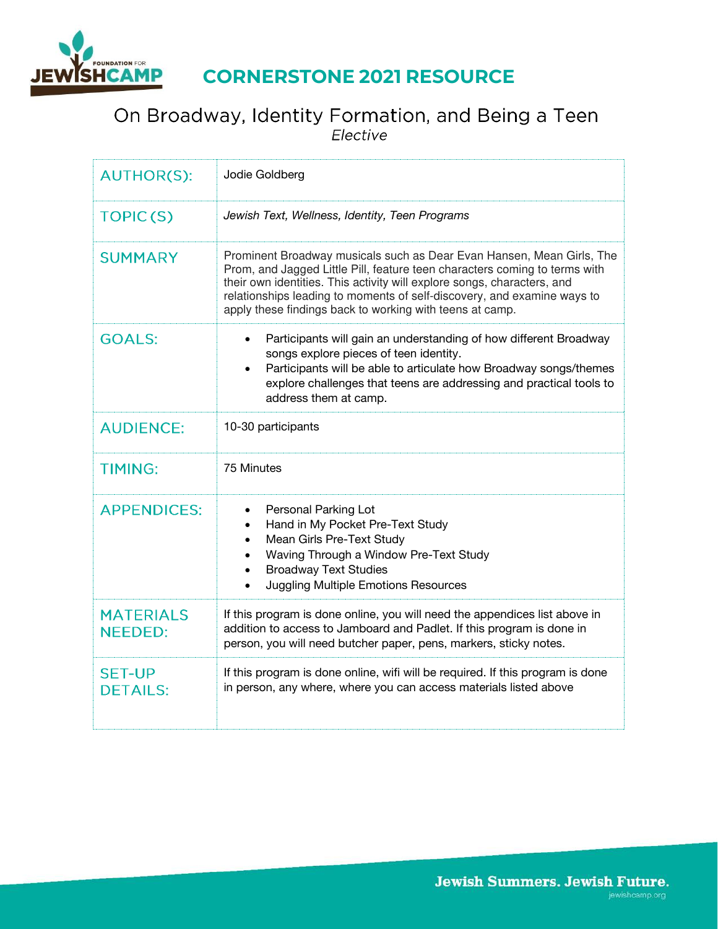

## On Broadway, Identity Formation, and Being a Teen Elective

| <b>AUTHOR(S):</b>                  | Jodie Goldberg                                                                                                                                                                                                                                                                                                                                                        |
|------------------------------------|-----------------------------------------------------------------------------------------------------------------------------------------------------------------------------------------------------------------------------------------------------------------------------------------------------------------------------------------------------------------------|
| <b>TOPIC (S)</b>                   | Jewish Text, Wellness, Identity, Teen Programs                                                                                                                                                                                                                                                                                                                        |
| <b>SUMMARY</b>                     | Prominent Broadway musicals such as Dear Evan Hansen, Mean Girls, The<br>Prom, and Jagged Little Pill, feature teen characters coming to terms with<br>their own identities. This activity will explore songs, characters, and<br>relationships leading to moments of self-discovery, and examine ways to<br>apply these findings back to working with teens at camp. |
| <b>GOALS:</b>                      | Participants will gain an understanding of how different Broadway<br>songs explore pieces of teen identity.<br>Participants will be able to articulate how Broadway songs/themes<br>explore challenges that teens are addressing and practical tools to<br>address them at camp.                                                                                      |
| <b>AUDIENCE:</b>                   | 10-30 participants                                                                                                                                                                                                                                                                                                                                                    |
| <b>TIMING:</b>                     | 75 Minutes                                                                                                                                                                                                                                                                                                                                                            |
| <b>APPENDICES:</b>                 | Personal Parking Lot<br>Hand in My Pocket Pre-Text Study<br>Mean Girls Pre-Text Study<br>Waving Through a Window Pre-Text Study<br><b>Broadway Text Studies</b><br>Juggling Multiple Emotions Resources                                                                                                                                                               |
| <b>MATERIALS</b><br><b>NEEDED:</b> | If this program is done online, you will need the appendices list above in<br>addition to access to Jamboard and Padlet. If this program is done in<br>person, you will need butcher paper, pens, markers, sticky notes.                                                                                                                                              |
| <b>SET-UP</b><br><b>DETAILS:</b>   | If this program is done online, wifi will be required. If this program is done<br>in person, any where, where you can access materials listed above                                                                                                                                                                                                                   |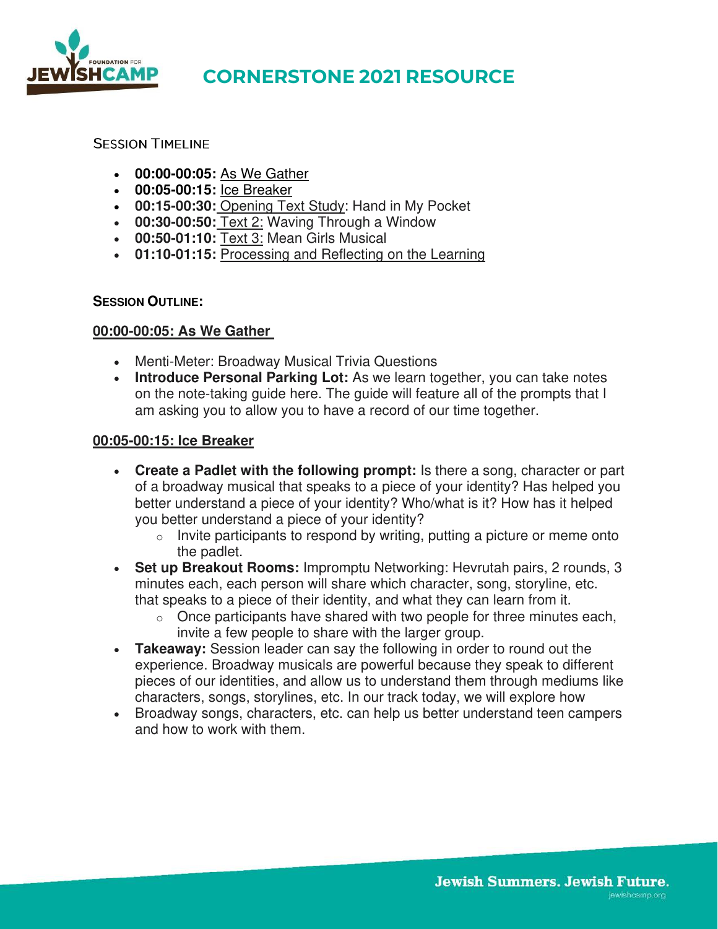

#### **SESSION TIMELINE**

- **00:00-00:05:** As We Gather
- **00:05-00:15:** Ice Breaker
- **00:15-00:30:** Opening Text Study: Hand in My Pocket
- 00:30-00:50: Text 2: Waving Through a Window
- **00:50-01:10:** Text 3: Mean Girls Musical
- **01:10-01:15:** Processing and Reflecting on the Learning

#### **SESSION OUTLINE:**

#### **00:00-00:05: As We Gather**

- Menti-Meter: Broadway Musical Trivia Questions
- **Introduce Personal Parking Lot:** As we learn together, you can take notes on the note-taking guide here. The guide will feature all of the prompts that I am asking you to allow you to have a record of our time together.

#### **00:05-00:15: Ice Breaker**

- **Create a Padlet with the following prompt:** Is there a song, character or part of a broadway musical that speaks to a piece of your identity? Has helped you better understand a piece of your identity? Who/what is it? How has it helped you better understand a piece of your identity?
	- o Invite participants to respond by writing, putting a picture or meme onto the padlet.
- **Set up Breakout Rooms:** Impromptu Networking: Hevrutah pairs, 2 rounds, 3 minutes each, each person will share which character, song, storyline, etc. that speaks to a piece of their identity, and what they can learn from it.
	- $\circ$  Once participants have shared with two people for three minutes each, invite a few people to share with the larger group.
- **Takeaway:** Session leader can say the following in order to round out the experience. Broadway musicals are powerful because they speak to different pieces of our identities, and allow us to understand them through mediums like characters, songs, storylines, etc. In our track today, we will explore how
- Broadway songs, characters, etc. can help us better understand teen campers and how to work with them.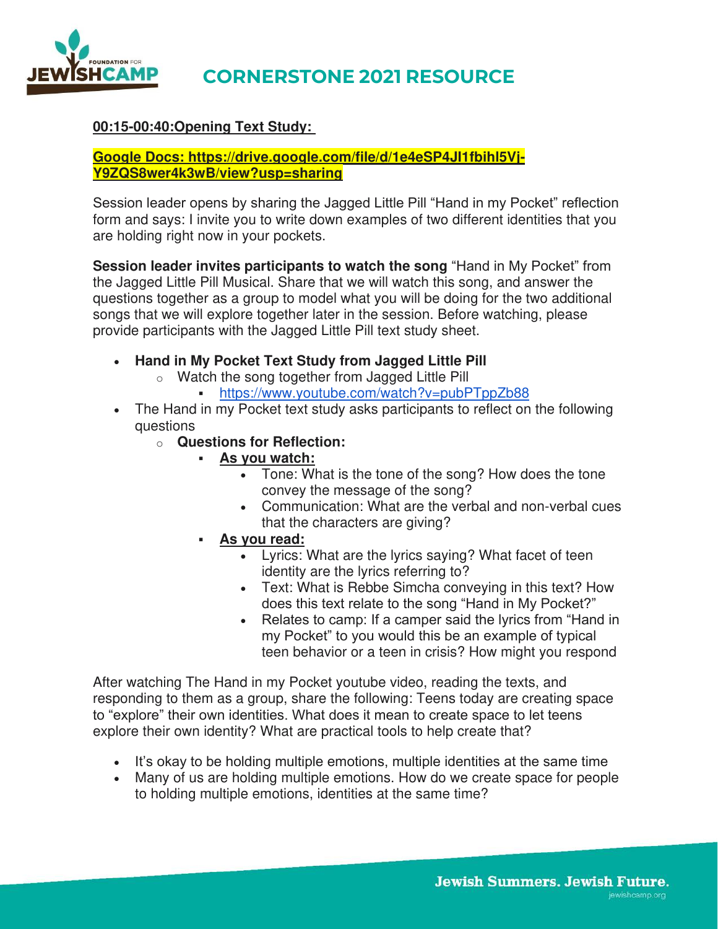

## **00:15-00:40:Opening Text Study:**

#### **Google Docs: https://drive.google.com/file/d/1e4eSP4JI1fbihl5Vj-Y9ZQS8wer4k3wB/view?usp=sharing**

Session leader opens by sharing the Jagged Little Pill "Hand in my Pocket" reflection form and says: I invite you to write down examples of two different identities that you are holding right now in your pockets.

**Session leader invites participants to watch the song** "Hand in My Pocket" from the Jagged Little Pill Musical. Share that we will watch this song, and answer the questions together as a group to model what you will be doing for the two additional songs that we will explore together later in the session. Before watching, please provide participants with the Jagged Little Pill text study sheet.

- **Hand in My Pocket Text Study from Jagged Little Pill** 
	- o Watch the song together from Jagged Little Pill
		- <https://www.youtube.com/watch?v=pubPTppZb88>
- The Hand in my Pocket text study asks participants to reflect on the following questions
	- o **Questions for Reflection:** 
		- **As you watch:** 
			- Tone: What is the tone of the song? How does the tone convey the message of the song?
			- Communication: What are the verbal and non-verbal cues that the characters are giving?
			- **As you read:** 
				- Lyrics: What are the lyrics saying? What facet of teen identity are the lyrics referring to?
				- Text: What is Rebbe Simcha conveying in this text? How does this text relate to the song "Hand in My Pocket?"
				- Relates to camp: If a camper said the lyrics from "Hand in my Pocket" to you would this be an example of typical teen behavior or a teen in crisis? How might you respond

After watching The Hand in my Pocket youtube video, reading the texts, and responding to them as a group, share the following: Teens today are creating space to "explore" their own identities. What does it mean to create space to let teens explore their own identity? What are practical tools to help create that?

- It's okay to be holding multiple emotions, multiple identities at the same time
- Many of us are holding multiple emotions. How do we create space for people to holding multiple emotions, identities at the same time?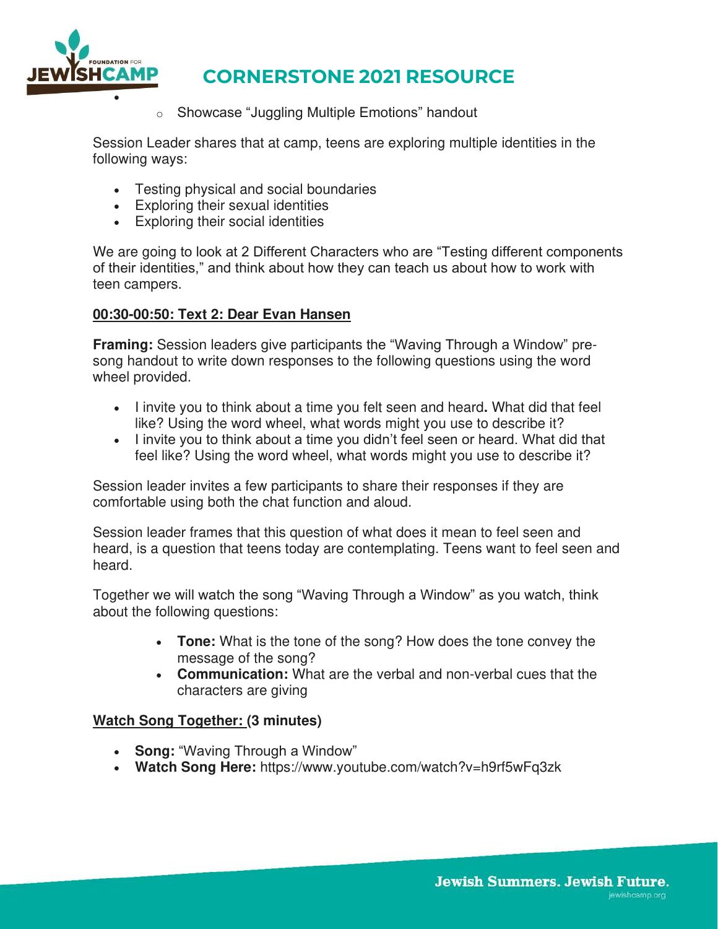

o Showcase "Juggling Multiple Emotions" handout

Session Leader shares that at camp, teens are exploring multiple identities in the following ways:

- Testing physical and social boundaries
- Exploring their sexual identities
- Exploring their social identities

We are going to look at 2 Different Characters who are "Testing different components of their identities," and think about how they can teach us about how to work with teen campers.

## **00:30-00:50: Text 2: Dear Evan Hansen**

**Framing:** Session leaders give participants the "Waving Through a Window" presong handout to write down responses to the following questions using the word wheel provided.

- I invite you to think about a time you felt seen and heard**.** What did that feel like? Using the word wheel, what words might you use to describe it?
- I invite you to think about a time you didn't feel seen or heard. What did that feel like? Using the word wheel, what words might you use to describe it?

Session leader invites a few participants to share their responses if they are comfortable using both the chat function and aloud.

Session leader frames that this question of what does it mean to feel seen and heard, is a question that teens today are contemplating. Teens want to feel seen and heard.

Together we will watch the song "Waving Through a Window" as you watch, think about the following questions:

- **Tone:** What is the tone of the song? How does the tone convey the message of the song?
- **Communication:** What are the verbal and non-verbal cues that the characters are giving

#### **Watch Song Together: (3 minutes)**

- **Song:** "Waving Through a Window"
- **Watch Song Here:** https://www.youtube.com/watch?v=h9rf5wFq3zk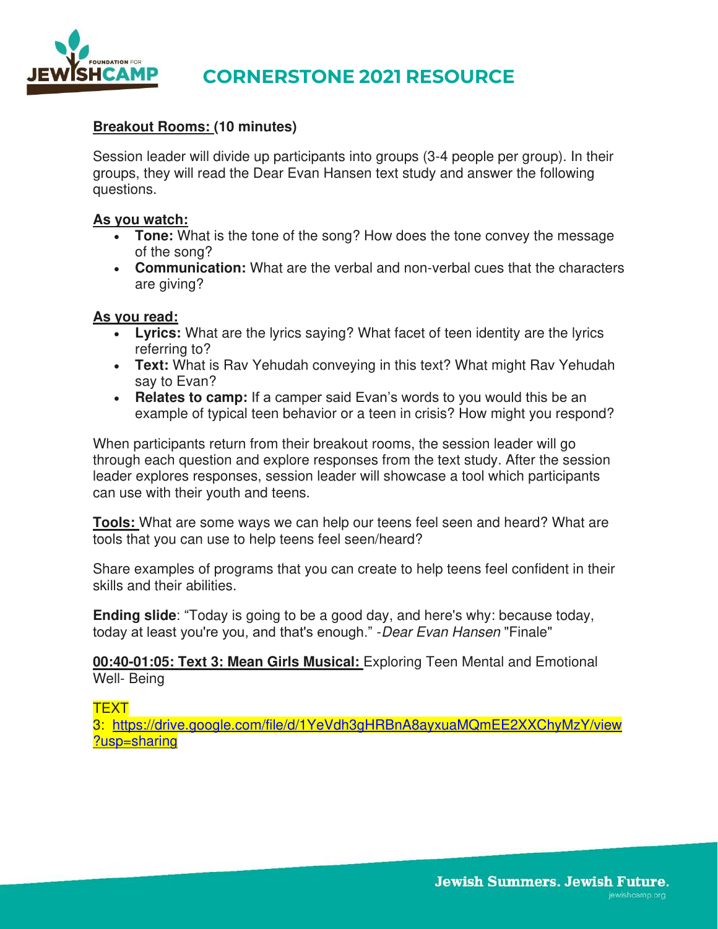

## **Breakout Rooms: (10 minutes)**

Session leader will divide up participants into groups (3-4 people per group). In their groups, they will read the Dear Evan Hansen text study and answer the following questions.

#### **As you watch:**

- **Tone:** What is the tone of the song? How does the tone convey the message of the song?
- **Communication:** What are the verbal and non-verbal cues that the characters are giving?

#### **As you read:**

- **Lyrics:** What are the lyrics saying? What facet of teen identity are the lyrics referring to?
- **Text:** What is Rav Yehudah conveying in this text? What might Rav Yehudah say to Evan?
- **Relates to camp:** If a camper said Evan's words to you would this be an example of typical teen behavior or a teen in crisis? How might you respond?

When participants return from their breakout rooms, the session leader will go through each question and explore responses from the text study. After the session leader explores responses, session leader will showcase a tool which participants can use with their youth and teens.

**Tools:** What are some ways we can help our teens feel seen and heard? What are tools that you can use to help teens feel seen/heard?

Share examples of programs that you can create to help teens feel confident in their skills and their abilities.

**Ending slide**: "Today is going to be a good day, and here's why: because today, today at least you're you, and that's enough." - Dear Evan Hansen "Finale"

**00:40-01:05: Text 3: Mean Girls Musical:** Exploring Teen Mental and Emotional Well- Being

#### TEXT

3: [https://drive.google.com/file/d/1YeVdh3gHRBnA8ayxuaMQmEE2XXChyMzY/view](https://drive.google.com/file/d/1YeVdh3gHRBnA8ayxuaMQmEE2XXChyMzY/view?usp=sharing) [?usp=sharing](https://drive.google.com/file/d/1YeVdh3gHRBnA8ayxuaMQmEE2XXChyMzY/view?usp=sharing)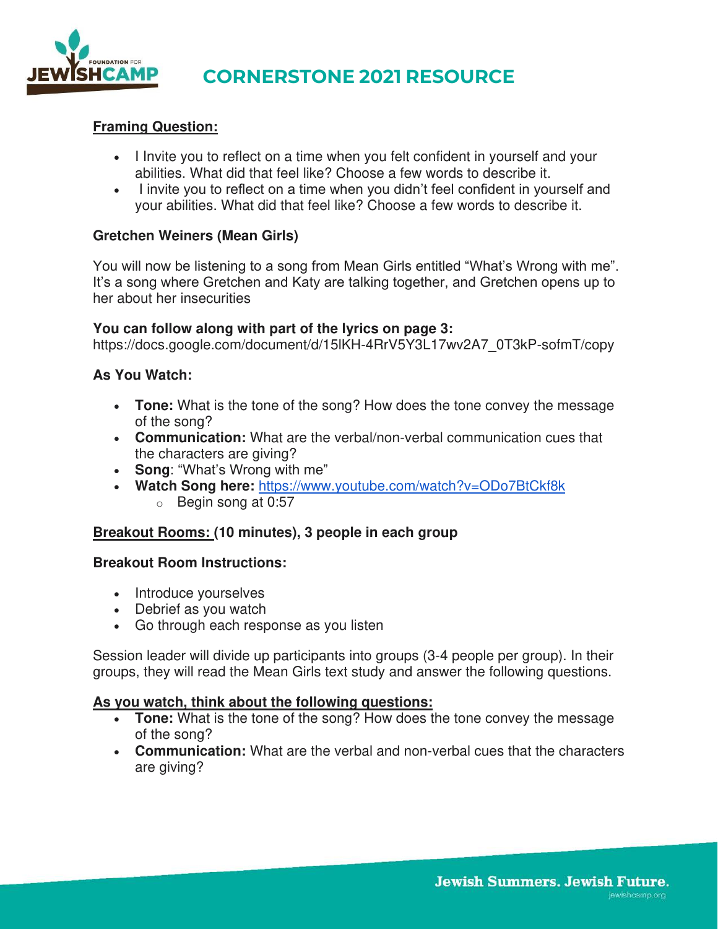

### **Framing Question:**

- I Invite you to reflect on a time when you felt confident in yourself and your abilities. What did that feel like? Choose a few words to describe it.
- I invite you to reflect on a time when you didn't feel confident in yourself and your abilities. What did that feel like? Choose a few words to describe it.

#### **Gretchen Weiners (Mean Girls)**

You will now be listening to a song from Mean Girls entitled "What's Wrong with me". It's a song where Gretchen and Katy are talking together, and Gretchen opens up to her about her insecurities

#### **You can follow along with part of the lyrics on page 3:**

https://docs.google.com/document/d/15lKH-4RrV5Y3L17wv2A7\_0T3kP-sofmT/copy

## **As You Watch:**

- **Tone:** What is the tone of the song? How does the tone convey the message of the song?
- **Communication:** What are the verbal/non-verbal communication cues that the characters are giving?
- **Song**: "What's Wrong with me"
- **Watch Song here:** <https://www.youtube.com/watch?v=ODo7BtCkf8k>
	- o Begin song at 0:57

#### **Breakout Rooms: (10 minutes), 3 people in each group**

#### **Breakout Room Instructions:**

- Introduce yourselves
- Debrief as you watch
- Go through each response as you listen

Session leader will divide up participants into groups (3-4 people per group). In their groups, they will read the Mean Girls text study and answer the following questions.

#### **As you watch, think about the following questions:**

- **Tone:** What is the tone of the song? How does the tone convey the message of the song?
- **Communication:** What are the verbal and non-verbal cues that the characters are giving?